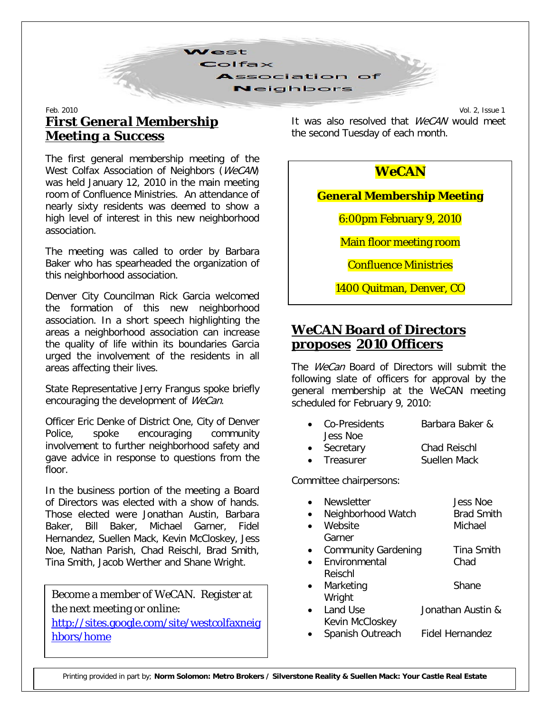

#### Feb. 2010 Vol. 2, Issue 1 *First General Membership Meeting a Success*

The first general membership meeting of the West Colfax Association of Neighbors (WeCAN) was held January 12, 2010 in the main meeting room of Confluence Ministries. An attendance of nearly sixty residents was deemed to show a high level of interest in this new neighborhood association.

The meeting was called to order by Barbara Baker who has spearheaded the organization of this neighborhood association.

Denver City Councilman Rick Garcia welcomed the formation of this new neighborhood association. In a short speech highlighting the areas a neighborhood association can increase the quality of life within its boundaries Garcia urged the involvement of the residents in all areas affecting their lives.

State Representative Jerry Frangus spoke briefly encouraging the development of WeCan.

Officer Eric Denke of District One, City of Denver Police, spoke encouraging community involvement to further neighborhood safety and gave advice in response to questions from the floor.

In the business portion of the meeting a Board of Directors was elected with a show of hands. Those elected were Jonathan Austin, Barbara Baker, Bill Baker, Michael Garner, Fidel Hernandez, Suellen Mack, Kevin McCloskey, Jess Noe, Nathan Parish, Chad Reischl, Brad Smith, Tina Smith, Jacob Werther and Shane Wright.

Become a member of *WeCAN*. Register at the next meeting or online:

[http://sites.google.com/site/westcolfaxneig](http://sites.google.com/site/westcolfaxneighbors/home) [hbors/home](http://sites.google.com/site/westcolfaxneighbors/home)

It was also resolved that *WeCAN* would meet the second Tuesday of each month.

#### *WeCAN*

**General Membership Meeting**

6:00pm February 9, 2010

Main floor meeting room

Confluence Ministries

1400 Quitman, Denver, CO

# *WeCAN* **Board of Directors proposes 2010 Officers**

The *WeCan* Board of Directors will submit the following slate of officers for approval by the general membership at the WeCAN meeting scheduled for February 9, 2010:

| • Co-Presidents | Barbara Baker & |
|-----------------|-----------------|
| Jess Noe        |                 |
| - Coorotomi     | Chad Daicahl    |

• Secretary Chad Reischl Treasurer **Suellen Mack** 

Committee chairpersons:

| <b>Newsletter</b>          | <b>Jess Noe</b>   |
|----------------------------|-------------------|
| Neighborhood Watch         | <b>Brad Smith</b> |
| Website                    | Michael           |
| Garner                     |                   |
| <b>Community Gardening</b> | Tina Smith        |
| Environmental              | Chad              |
| Reischl                    |                   |
| Marketing                  | Shane             |
| Wright                     |                   |
| Land Use                   | Jonathan Austin & |
| Kevin McCloskey            |                   |

Spanish Outreach Fidel Hernandez

Printing provided in part by; **Norm Solomon: Metro Brokers / Silverstone Reality & Suellen Mack: Your Castle Real Estate**